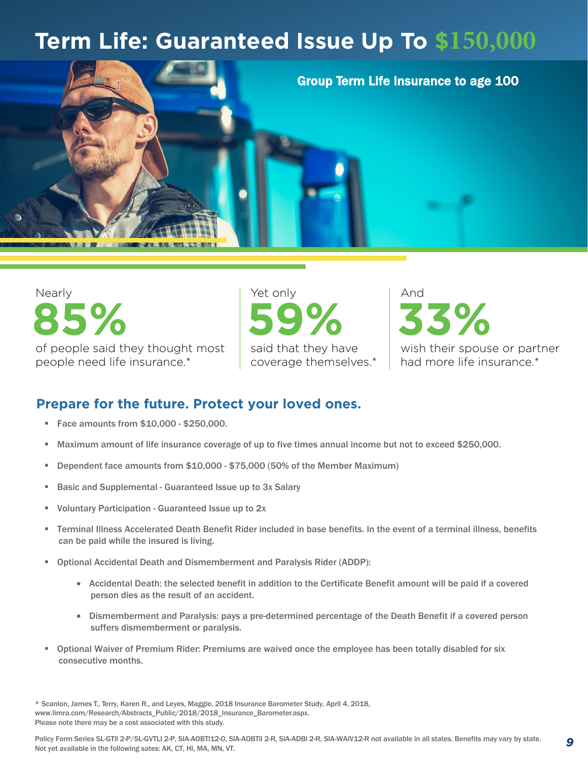## **Term Life: Guaranteed Issue Up To \$150,000**



Nearly of people said they thought most people need life insurance.\* **85%**

Yet only said that they have coverage themselves.\* **59%**

And wish their spouse or partner had more life insurance.\* **33%**

*9*

## **Prepare for the future. Protect your loved ones.**

- **Face amounts from \$10,000 \$250,000.**
- Maximum amount of life insurance coverage of up to five times annual income but not to exceed \$250,000.
- Dependent face amounts from \$10,000 \$75,000 (50% of the Member Maximum)
- Basic and Supplemental Guaranteed Issue up to 3x Salary
- Voluntary Participation Guaranteed Issue up to 2x
- Terminal Illness Accelerated Death Benefit Rider included in base benefits. In the event of a terminal illness, benefits can be paid while the insured is living.
- Optional Accidental Death and Dismemberment and Paralysis Rider (ADDP):
	- Accidental Death: the selected benefit in addition to the Certificate Benefit amount will be paid if a covered person dies as the result of an accident.
	- Dismemberment and Paralysis: pays a pre-determined percentage of the Death Benefit if a covered person suffers dismemberment or paralysis.
- Optional Waiver of Premium Rider: Premiums are waived once the employee has been totally disabled for six consecutive months.

<sup>\*</sup> Scanlon, James T., Terry, Karen R., and Leyes, Maggie, 2018 Insurance Barometer Study, April 4, 2018, www.limra.com/Research/Abstracts\_Public/2018/2018\_Insurance\_Barometer.aspx. Please note there may be a cost associated with this study.